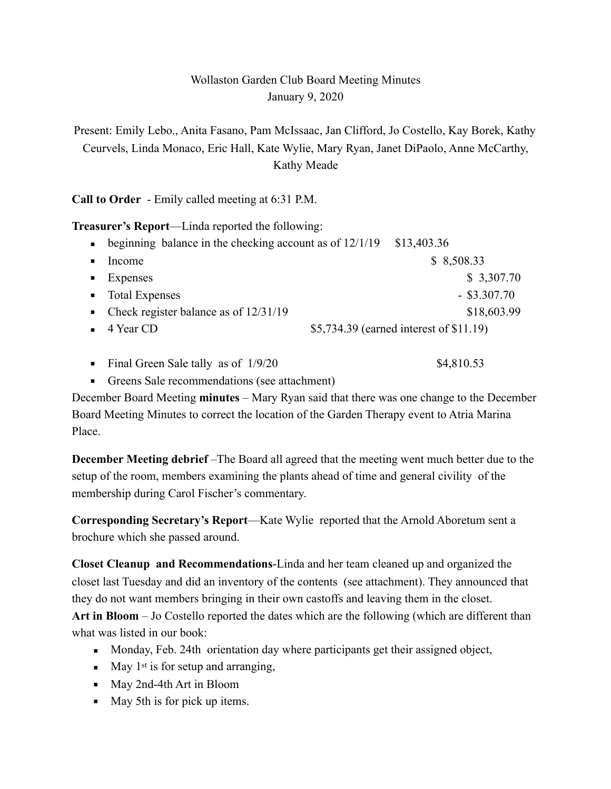## Wollaston Garden Club Board Meeting Minutes January 9, 2020

Present: Emily Lebo., Anita Fasano, Pam McIssaac, Jan Clifford, Jo Costello, Kay Borek, Kathy Ceurvels, Linda Monaco, Eric Hall, Kate Wylie, Mary Ryan, Janet DiPaolo, Anne McCarthy, Kathy Meade

**Call to Order** - Emily called meeting at 6:31 P.M.

**Treasurer's Report**—Linda reported the following:

- $\bullet$  beginning balance in the checking account as of 12/1/19 \$13,403.36 • Income  $$8,508.33$  $\bullet$  Expenses \$ 3,307.70  $\blacksquare$  Total Expenses  $-$  \$3.307.70 ■ Check register balance as of 12/31/19 \$18,603.99  $\bullet$  4 Year CD  $$5,734.39$  (earned interest of \$11.19)
- Final Green Sale tally as of  $1/9/20$  \$4,810.53
- Greens Sale recommendations (see attachment)

December Board Meeting **minutes** – Mary Ryan said that there was one change to the December Board Meeting Minutes to correct the location of the Garden Therapy event to Atria Marina Place.

**December Meeting debrief** –The Board all agreed that the meeting went much better due to the setup of the room, members examining the plants ahead of time and general civility of the membership during Carol Fischer's commentary.

**Corresponding Secretary's Report**—Kate Wylie reported that the Arnold Aboretum sent a brochure which she passed around.

**Closet Cleanup and Recommendations**-Linda and her team cleaned up and organized the closet last Tuesday and did an inventory of the contents (see attachment). They announced that they do not want members bringing in their own castoffs and leaving them in the closet. **Art in Bloom** – Jo Costello reported the dates which are the following (which are different than what was listed in our book:

- **Monday, Feb. 24th orientation day where participants get their assigned object,**
- $\blacksquare$  May 1<sup>st</sup> is for setup and arranging,
- May 2nd-4th Art in Bloom
- May 5th is for pick up items.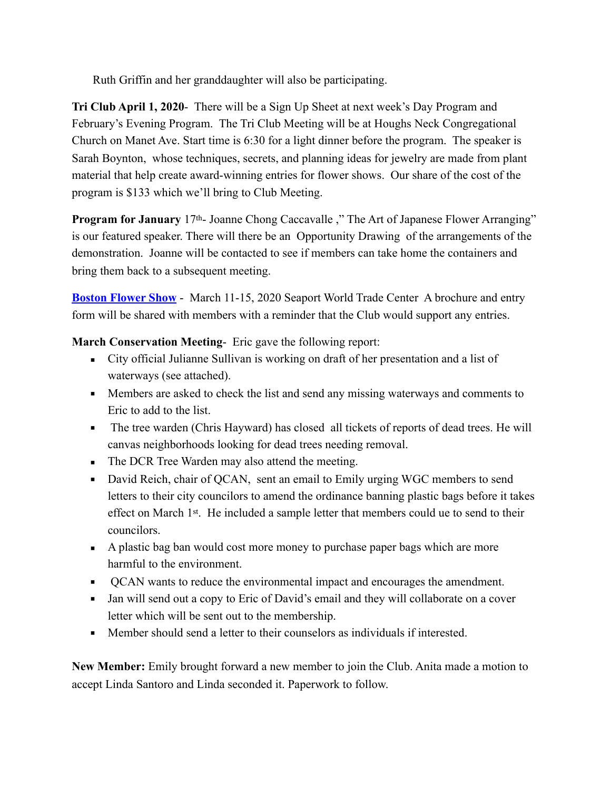Ruth Griffin and her granddaughter will also be participating.

**Tri Club April 1, 2020**- There will be a Sign Up Sheet at next week's Day Program and February's Evening Program. The Tri Club Meeting will be at Houghs Neck Congregational Church on Manet Ave. Start time is 6:30 for a light dinner before the program. The speaker is Sarah Boynton, whose techniques, secrets, and planning ideas for jewelry are made from plant material that help create award-winning entries for flower shows. Our share of the cost of the program is \$133 which we'll bring to Club Meeting.

**Program for January** 17<sup>th</sup>- Joanne Chong Caccavalle," The Art of Japanese Flower Arranging" is our featured speaker. There will there be an Opportunity Drawing of the arrangements of the demonstration. Joanne will be contacted to see if members can take home the containers and bring them back to a subsequent meeting.

**[Boston Flower Show](https://bostonflowershow.com/exhibitor-info/floor-plan/2020-boston-flower-and-garden-show-floorplan-2/)** - March 11-15, 2020 Seaport World Trade Center A brochure and entry form will be shared with members with a reminder that the Club would support any entries.

**March Conservation Meeting**- Eric gave the following report:

- City official Julianne Sullivan is working on draft of her presentation and a list of waterways (see attached).
- **•** Members are asked to check the list and send any missing waterways and comments to Eric to add to the list.
- **•** The tree warden (Chris Hayward) has closed all tickets of reports of dead trees. He will canvas neighborhoods looking for dead trees needing removal.
- **The DCR Tree Warden may also attend the meeting.**
- David Reich, chair of QCAN, sent an email to Emily urging WGC members to send letters to their city councilors to amend the ordinance banning plastic bags before it takes effect on March 1st. He included a sample letter that members could ue to send to their councilors.
- A plastic bag ban would cost more money to purchase paper bags which are more harmful to the environment.
- QCAN wants to reduce the environmental impact and encourages the amendment.
- Jan will send out a copy to Eric of David's email and they will collaborate on a cover letter which will be sent out to the membership.
- Member should send a letter to their counselors as individuals if interested.

**New Member:** Emily brought forward a new member to join the Club. Anita made a motion to accept Linda Santoro and Linda seconded it. Paperwork to follow.